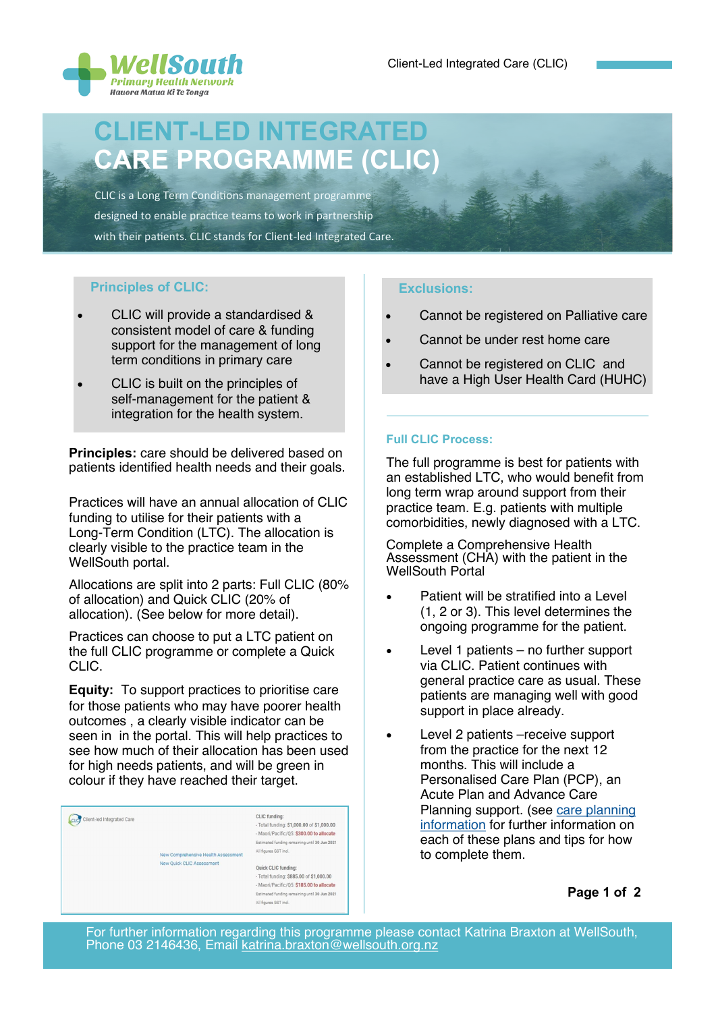

## CLIENT-LED INTEGRATED CARE PROGRAMME (CLIC)

 CLIC is a Long Term Conditions management programme designed to enable practice teams to work in partnership with their patients. CLIC stands for Client-led Integrated Care.

#### Principles of CLIC:

- CLIC will provide a standardised & consistent model of care & funding support for the management of long term conditions in primary care
- CLIC is built on the principles of self-management for the patient & integration for the health system.

Principles: care should be delivered based on patients identified health needs and their goals.

Practices will have an annual allocation of CLIC funding to utilise for their patients with a Long-Term Condition (LTC). The allocation is clearly visible to the practice team in the WellSouth portal.

Allocations are split into 2 parts: Full CLIC (80% of allocation) and Quick CLIC (20% of allocation). (See below for more detail).

Practices can choose to put a LTC patient on the full CLIC programme or complete a Quick CLIC.

Equity: To support practices to prioritise care for those patients who may have poorer health outcomes , a clearly visible indicator can be seen in in the portal. This will help practices to see how much of their allocation has been used for high needs patients, and will be green in colour if they have reached their target.

### Cucy Client-led Integrated Care

**CLIC** funding - Total funding: \$1,000,00 of \$1,000,00 - Maori/Pacific/Q5: \$300.00 to allocate Estimated funding remaining until 20, Jun 2021 All figures GST incl.

New Comprehensive Health Assessment New Quick CLIC Assessment

Quick CLIC funding: -<br>Total funding: \$885.00 of \$1,000.00 - Maori/Pacific/Q5: \$185.00 to allocate ing until 30 Jun 2021 Estimated funding rem All figures GST incl.

#### Exclusions:

- Cannot be registered on Palliative care
- Cannot be under rest home care
- Cannot be registered on CLIC and have a High User Health Card (HUHC)

#### Full CLIC Process:

The full programme is best for patients with an established LTC, who would benefit from long term wrap around support from their practice team. E.g. patients with multiple comorbidities, newly diagnosed with a LTC.

Complete a Comprehensive Health Assessment (CHA) with the patient in the WellSouth Portal

- Patient will be stratified into a Level (1, 2 or 3). This level determines the ongoing programme for the patient.
- Level 1 patients  $-$  no further support via CLIC. Patient continues with general practice care as usual. These patients are managing well with good support in place already.
- Level 2 patients –receive support from the practice for the next 12 months. This will include a Personalised Care Plan (PCP), an Acute Plan and Advance Care Planning support. (see [care planning](https://southern.communityhealthpathways.org/LoginFiles/Logon.aspx?ReturnUrl=%2f65695.htm)  [information](https://southern.communityhealthpathways.org/LoginFiles/Logon.aspx?ReturnUrl=%2f65695.htm) for further information on each of these plans and tips for how to complete them.

Page 1 of 2

For further information regarding this programme please contact Katrina Braxton at WellSouth, Phone 03 2146436, Email [katrina.braxton@wellsouth.org.nz](mailto:katrina.braxton@wellsouth.org.nz)